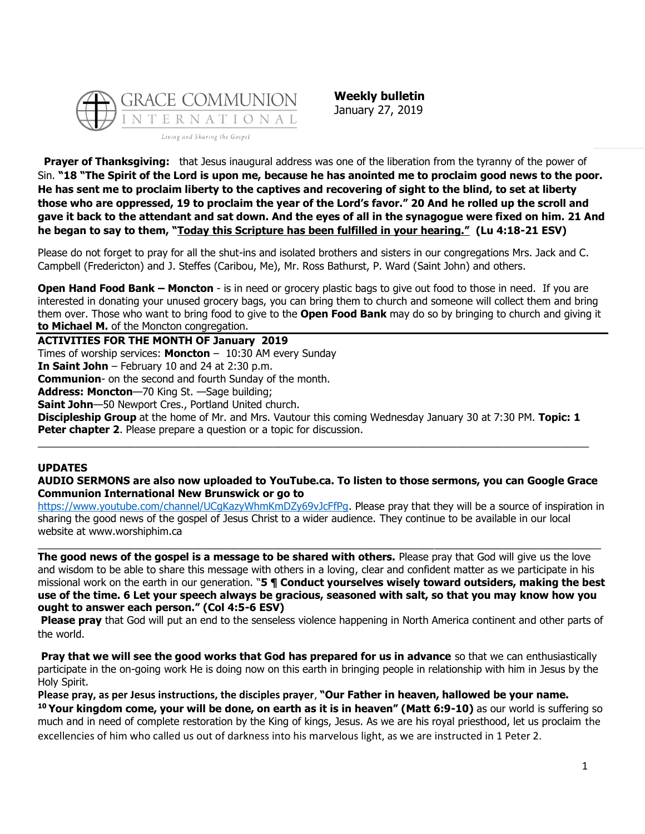

**Weekly bulletin** January 27, 2019

**Prayer of Thanksgiving:** that Jesus inaugural address was one of the liberation from the tyranny of the power of Sin. **"18 "The Spirit of the Lord is upon me, because he has anointed me to proclaim good news to the poor. He has sent me to proclaim liberty to the captives and recovering of sight to the blind, to set at liberty those who are oppressed, 19 to proclaim the year of the Lord's favor." 20 And he rolled up the scroll and gave it back to the attendant and sat down. And the eyes of all in the synagogue were fixed on him. 21 And he began to say to them, "Today this Scripture has been fulfilled in your hearing." (Lu 4:18-21 ESV)**

Please do not forget to pray for all the shut-ins and isolated brothers and sisters in our congregations Mrs. Jack and C. Campbell (Fredericton) and J. Steffes (Caribou, Me), Mr. Ross Bathurst, P. Ward (Saint John) and others.

**Open Hand Food Bank – Moncton** - is in need or grocery plastic bags to give out food to those in need. If you are interested in donating your unused grocery bags, you can bring them to church and someone will collect them and bring them over. Those who want to bring food to give to the **Open Food Bank** may do so by bringing to church and giving it **to Michael M.** of the Moncton congregation.

**ACTIVITIES FOR THE MONTH OF January 2019** Times of worship services: **Moncton** – 10:30 AM every Sunday **In Saint John** – February 10 and 24 at 2:30 p.m. **Communion**- on the second and fourth Sunday of the month. **Address: Moncton**—70 King St. —Sage building; **Saint John**—50 Newport Cres., Portland United church. **Discipleship Group** at the home of Mr. and Mrs. Vautour this coming Wednesday January 30 at 7:30 PM. **Topic: 1 Peter chapter 2**. Please prepare a question or a topic for discussion.

\_\_\_\_\_\_\_\_\_\_\_\_\_\_\_\_\_\_\_\_\_\_\_\_\_\_\_\_\_\_\_\_\_\_\_\_\_\_\_\_\_\_\_\_\_\_\_\_\_\_\_\_\_\_\_\_\_\_\_\_\_\_\_\_\_\_\_\_\_\_\_\_\_\_\_\_\_\_\_\_\_\_\_\_\_\_\_\_\_\_\_\_\_\_\_\_

## **UPDATES**

**AUDIO SERMONS are also now uploaded to YouTube.ca. To listen to those sermons, you can Google Grace Communion International New Brunswick or go to** 

[https://www.youtube.com/channel/UCgKazyWhmKmDZy69vJcFfPg.](https://www.youtube.com/channel/UCgKazyWhmKmDZy69vJcFfPg) Please pray that they will be a source of inspiration in sharing the good news of the gospel of Jesus Christ to a wider audience. They continue to be available in our local website at www.worshiphim.ca

 $\_$  ,  $\_$  ,  $\_$  ,  $\_$  ,  $\_$  ,  $\_$  ,  $\_$  ,  $\_$  ,  $\_$  ,  $\_$  ,  $\_$  ,  $\_$  ,  $\_$  ,  $\_$  ,  $\_$  ,  $\_$  ,  $\_$  ,  $\_$  ,  $\_$  ,  $\_$  ,  $\_$  ,  $\_$  ,  $\_$  ,  $\_$  ,  $\_$  ,  $\_$  ,  $\_$  ,  $\_$  ,  $\_$  ,  $\_$  ,  $\_$  ,  $\_$  ,  $\_$  ,  $\_$  ,  $\_$  ,  $\_$  ,  $\_$  ,

**The good news of the gospel is a message to be shared with others.** Please pray that God will give us the love and wisdom to be able to share this message with others in a loving, clear and confident matter as we participate in his missional work on the earth in our generation. "**5 ¶ Conduct yourselves wisely toward outsiders, making the best use of the time. 6 Let your speech always be gracious, seasoned with salt, so that you may know how you ought to answer each person." (Col 4:5-6 ESV)**

**Please pray** that God will put an end to the senseless violence happening in North America continent and other parts of the world.

**Pray that we will see the good works that God has prepared for us in advance** so that we can enthusiastically participate in the on-going work He is doing now on this earth in bringing people in relationship with him in Jesus by the Holy Spirit.

**Please pray, as per Jesus instructions, the disciples prayer**, **"Our Father in heaven, hallowed be your name.**

**<sup>10</sup> Your kingdom come, your will be done, on earth as it is in heaven" (Matt 6:9-10)** as our world is suffering so much and in need of complete restoration by the King of kings, Jesus. As we are his royal priesthood, let us proclaim the excellencies of him who called us out of darkness into his marvelous light, as we are instructed in 1 Peter 2.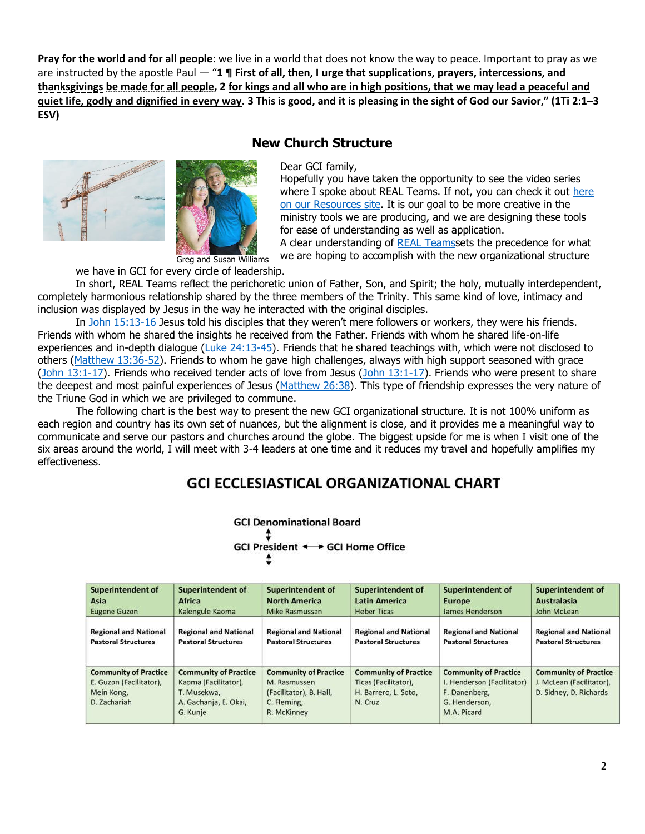**Pray for the world and for all people**: we live in a world that does not know the way to peace. Important to pray as we are instructed by the apostle Paul — "**1 ¶ First of all, then, I urge that supplications, prayers, intercessions, and thanksgivings be made for all people, 2 for kings and all who are in high positions, that we may lead a peaceful and quiet life, godly and dignified in every way. 3 This is good, and it is pleasing in the sight of God our Savior," (1Ti 2:1–3 ESV)**



## **New Church Structure**

Dear GCI family,

Hopefully you have taken the opportunity to see the video series w[here](https://resources.gci.org/media/videos/real-teams-part-1) I spoke about REAL Teams. If not, you can check it out here on our [Resources site.](https://resources.gci.org/media/videos/real-teams-part-1) It is our goal to be more creative in the ministry tools we are producing, and we are designing these tools for ease of understanding as well as application.

A clear understanding of [REAL Teamss](https://resources.gci.org/media/videos/real-teams-part-1)ets the precedence for what we are hoping to accomplish with the new organizational structure

Greg and Susan Williams we have in GCI for every circle of leadership.

In short, REAL Teams reflect the perichoretic union of Father, Son, and Spirit; the holy, mutually interdependent, completely harmonious relationship shared by the three members of the Trinity. This same kind of love, intimacy and inclusion was displayed by Jesus in the way he interacted with the original disciples.

In [John 15:13-16](https://biblia.com/bible/niv/John%2015.13-16) Jesus told his disciples that they weren't mere followers or workers, they were his friends. Friends with whom he shared the insights he received from the Father. Friends with whom he shared life-on-life experiences and in-depth dialogue (Luke  $24:13-45$ ). Friends that he shared teachings with, which were not disclosed to others [\(Matthew 13:36-52\)](https://biblia.com/bible/niv/Matt%2013.36-52). Friends to whom he gave high challenges, always with high support seasoned with grace (John  $13:1-17$ ). Friends who received tender acts of love from Jesus (John  $13:1-17$ ). Friends who were present to share the deepest and most painful experiences of Jesus [\(Matthew 26:38\)](https://biblia.com/bible/niv/Matt%2026.38). This type of friendship expresses the very nature of the Triune God in which we are privileged to commune.

The following chart is the best way to present the new GCI organizational structure. It is not 100% uniform as each region and country has its own set of nuances, but the alignment is close, and it provides me a meaningful way to communicate and serve our pastors and churches around the globe. The biggest upside for me is when I visit one of the six areas around the world, I will meet with 3-4 leaders at one time and it reduces my travel and hopefully amplifies my effectiv[eness.](https://update.gci.org/wp-content/uploads/2019/01/GCI-Ecclesiastical-Chart-2.jpg)

## **GCI ECCLESIASTICAL ORGANIZATIONAL CHART**

**GCI Denominational Board** 

GCI President <→ GCI Home Office

| <b>Superintendent of</b>                                                              | <b>Superintendent of</b>                                                                                 | <b>Superintendent of</b>                                                                              | <b>Superintendent of</b>                                                                | <b>Superintendent of</b>                                                                                    | <b>Superintendent of</b>                                                           |
|---------------------------------------------------------------------------------------|----------------------------------------------------------------------------------------------------------|-------------------------------------------------------------------------------------------------------|-----------------------------------------------------------------------------------------|-------------------------------------------------------------------------------------------------------------|------------------------------------------------------------------------------------|
| Asia                                                                                  | <b>Africa</b>                                                                                            | <b>North America</b>                                                                                  | <b>Latin America</b>                                                                    | <b>Europe</b>                                                                                               | <b>Australasia</b>                                                                 |
| <b>Eugene Guzon</b>                                                                   | Kalengule Kaoma                                                                                          | <b>Mike Rasmussen</b>                                                                                 | <b>Heber Ticas</b>                                                                      | James Henderson                                                                                             | John McLean                                                                        |
| <b>Regional and National</b>                                                          | <b>Regional and National</b>                                                                             | <b>Regional and National</b>                                                                          | <b>Regional and National</b>                                                            | <b>Regional and National</b>                                                                                | <b>Regional and National</b>                                                       |
| <b>Pastoral Structures</b>                                                            | <b>Pastoral Structures</b>                                                                               | <b>Pastoral Structures</b>                                                                            | <b>Pastoral Structures</b>                                                              | <b>Pastoral Structures</b>                                                                                  | <b>Pastoral Structures</b>                                                         |
| <b>Community of Practice</b><br>E. Guzon (Facilitator),<br>Mein Kong,<br>D. Zachariah | <b>Community of Practice</b><br>Kaoma (Facilitator),<br>T. Musekwa.<br>A. Gachanja, E. Okai,<br>G. Kunje | <b>Community of Practice</b><br>M. Rasmussen<br>(Facilitator), B. Hall,<br>C. Fleming,<br>R. McKinney | <b>Community of Practice</b><br>Ticas (Facilitator),<br>H. Barrero, L. Soto,<br>N. Cruz | <b>Community of Practice</b><br>J. Henderson (Facilitator)<br>F. Danenberg,<br>G. Henderson,<br>M.A. Picard | <b>Community of Practice</b><br>J. McLean (Facilitator),<br>D. Sidney, D. Richards |